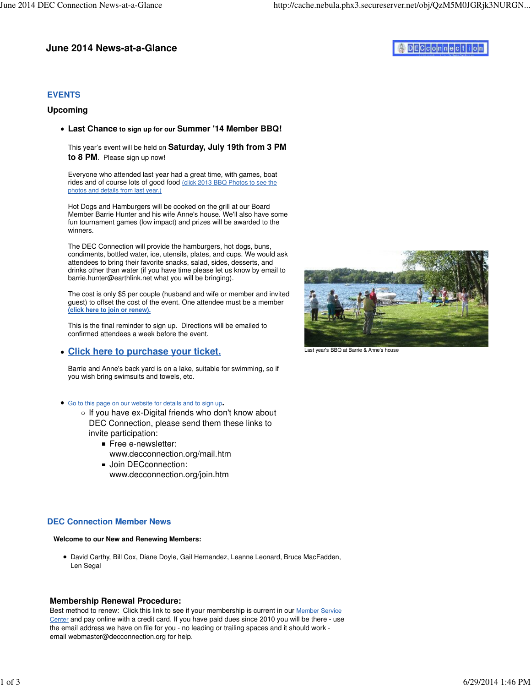## **June 2014 News-at-a-Glance**

# ADECCONNection

## **EVENTS**

#### **Upcoming**

**Last Chance to sign up for our Summer '14 Member BBQ!** 

This year's event will be held on **Saturday, July 19th from 3 PM to 8 PM**. Please sign up now!

Everyone who attended last year had a great time, with games, boat rides and of course lots of good food (click 2013 BBQ Photos to see the photos and details from last year.)

Hot Dogs and Hamburgers will be cooked on the grill at our Board Member Barrie Hunter and his wife Anne's house. We'll also have some fun tournament games (low impact) and prizes will be awarded to the winners.

The DEC Connection will provide the hamburgers, hot dogs, buns, condiments, bottled water, ice, utensils, plates, and cups. We would ask attendees to bring their favorite snacks, salad, sides, desserts, and drinks other than water (if you have time please let us know by email to barrie.hunter@earthlink.net what you will be bringing).

The cost is only \$5 per couple (husband and wife or member and invited guest) to offset the cost of the event. One attendee must be a member **(click here to join or renew).**

This is the final reminder to sign up. Directions will be emailed to confirmed attendees a week before the event.

#### **Click here to purchase your ticket.**

Barrie and Anne's back yard is on a lake, suitable for swimming, so if you wish bring swimsuits and towels, etc.

- Go to this page on our website for details and to sign up**.**
	- $\circ$  If you have ex-Digital friends who don't know about DEC Connection, please send them these links to invite participation:
		- Free e-newsletter: www.decconnection.org/mail.htm
		- **Join DECconnection:** www.decconnection.org/join.htm

### **DEC Connection Member News**

**Welcome to our New and Renewing Members:**

David Carthy, Bill Cox, Diane Doyle, Gail Hernandez, Leanne Leonard, Bruce MacFadden, Len Segal

#### **Membership Renewal Procedure:**

Best method to renew: Click this link to see if your membership is current in our Member Service Center and pay online with a credit card. If you have paid dues since 2010 you will be there - use the email address we have on file for you - no leading or trailing spaces and it should work email webmaster@decconnection.org for help.



Last year's BBQ at Barrie & Anne's house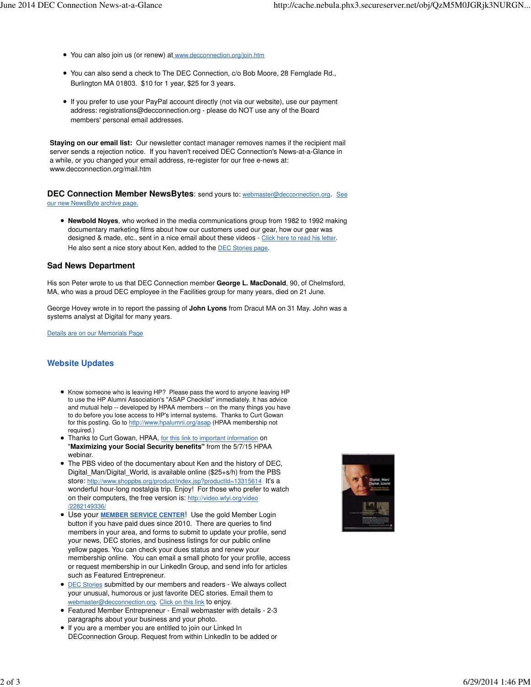- You can also join us (or renew) at www.decconnection.org/join.htm
- You can also send a check to The DEC Connection, c/o Bob Moore, 28 Fernglade Rd., Burlington MA 01803. \$10 for 1 year, \$25 for 3 years.
- If you prefer to use your PayPal account directly (not via our website), use our payment address: registrations@decconnection.org - please do NOT use any of the Board members' personal email addresses.

**Staying on our email list:** Our newsletter contact manager removes names if the recipient mail server sends a rejection notice. If you haven't received DEC Connection's News-at-a-Glance in a while, or you changed your email address, re-register for our free e-news at: www.decconnection.org/mail.htm

**DEC Connection Member NewsBytes**: send yours to: webmaster@decconnection.org. See our new NewsByte archive page.

**Newbold Noyes**, who worked in the media communications group from 1982 to 1992 making documentary marketing films about how our customers used our gear, how our gear was designed & made, etc., sent in a nice email about these videos - Click here to read his letter. He also sent a nice story about Ken, added to the DEC Stories page.

#### **Sad News Department**

His son Peter wrote to us that DEC Connection member **George L. MacDonald**, 90, of Chelmsford, MA, who was a proud DEC employee in the Facilities group for many years, died on 21 June.

George Hovey wrote in to report the passing of **John Lyons** from Dracut MA on 31 May. John was a systems analyst at Digital for many years.

Details are on our Memorials Page

#### **Website Updates**

- Know someone who is leaving HP? Please pass the word to anyone leaving HP to use the HP Alumni Association's "ASAP Checklist" immediately. It has advice and mutual help -- developed by HPAA members -- on the many things you have to do before you lose access to HP's internal systems. Thanks to Curt Gowan for this posting. Go to http://www.hpalumni.org/asap (HPAA membership not required.)
- **Thanks to Curt Gowan, HPAA, for this link to important information on** "**Maximizing your Social Security benefits"** from the 5/7/15 HPAA webinar.
- The PBS video of the documentary about Ken and the history of DEC, Digital\_Man/Digital\_World, is available online (\$25+s/h) from the PBS store: http://www.shoppbs.org/product/index.jsp?productId=13315614 It's a wonderful hour-long nostalgia trip. Enjoy! For those who prefer to watch on their computers, the free version is: http://video.wfyi.org/video /2282149336/
- Use your **MEMBER SERVICE CENTER**! Use the gold Member Login button if you have paid dues since 2010. There are queries to find members in your area, and forms to submit to update your profile, send your news, DEC stories, and business listings for our public online yellow pages. You can check your dues status and renew your membership online. You can email a small photo for your profile, access or request membership in our LinkedIn Group, and send info for articles such as Featured Entrepreneur.
- **DEC Stories submitted by our members and readers We always collect** your unusual, humorous or just favorite DEC stories. Email them to webmaster@decconnection.org. Click on this link to enjoy.
- Featured Member Entrepreneur Email webmaster with details 2-3 paragraphs about your business and your photo.
- If you are a member you are entitled to join our Linked In DECconnection Group. Request from within LinkedIn to be added or